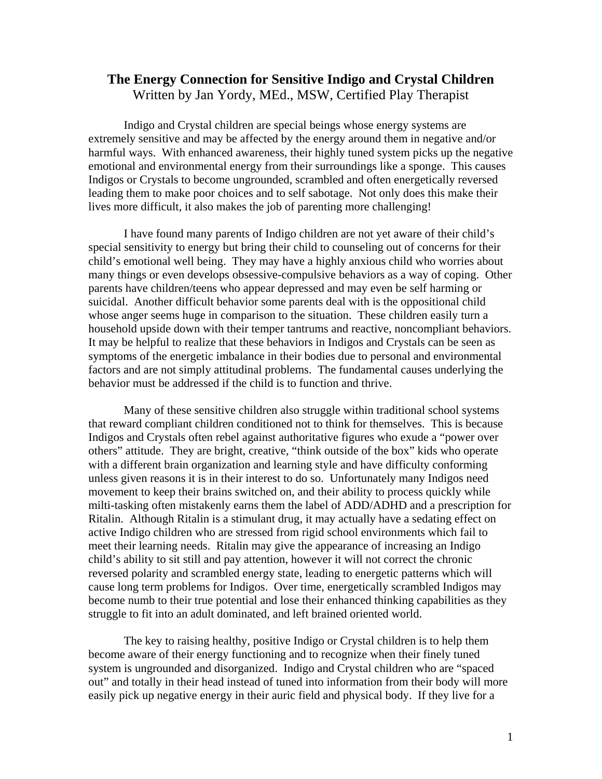## **The Energy Connection for Sensitive Indigo and Crystal Children**  Written by Jan Yordy, MEd., MSW, Certified Play Therapist

Indigo and Crystal children are special beings whose energy systems are extremely sensitive and may be affected by the energy around them in negative and/or harmful ways. With enhanced awareness, their highly tuned system picks up the negative emotional and environmental energy from their surroundings like a sponge. This causes Indigos or Crystals to become ungrounded, scrambled and often energetically reversed leading them to make poor choices and to self sabotage. Not only does this make their lives more difficult, it also makes the job of parenting more challenging!

 I have found many parents of Indigo children are not yet aware of their child's special sensitivity to energy but bring their child to counseling out of concerns for their child's emotional well being. They may have a highly anxious child who worries about many things or even develops obsessive-compulsive behaviors as a way of coping. Other parents have children/teens who appear depressed and may even be self harming or suicidal. Another difficult behavior some parents deal with is the oppositional child whose anger seems huge in comparison to the situation. These children easily turn a household upside down with their temper tantrums and reactive, noncompliant behaviors. It may be helpful to realize that these behaviors in Indigos and Crystals can be seen as symptoms of the energetic imbalance in their bodies due to personal and environmental factors and are not simply attitudinal problems. The fundamental causes underlying the behavior must be addressed if the child is to function and thrive.

 Many of these sensitive children also struggle within traditional school systems that reward compliant children conditioned not to think for themselves. This is because Indigos and Crystals often rebel against authoritative figures who exude a "power over others" attitude. They are bright, creative, "think outside of the box" kids who operate with a different brain organization and learning style and have difficulty conforming unless given reasons it is in their interest to do so. Unfortunately many Indigos need movement to keep their brains switched on, and their ability to process quickly while milti-tasking often mistakenly earns them the label of ADD/ADHD and a prescription for Ritalin. Although Ritalin is a stimulant drug, it may actually have a sedating effect on active Indigo children who are stressed from rigid school environments which fail to meet their learning needs. Ritalin may give the appearance of increasing an Indigo child's ability to sit still and pay attention, however it will not correct the chronic reversed polarity and scrambled energy state, leading to energetic patterns which will cause long term problems for Indigos. Over time, energetically scrambled Indigos may become numb to their true potential and lose their enhanced thinking capabilities as they struggle to fit into an adult dominated, and left brained oriented world.

 The key to raising healthy, positive Indigo or Crystal children is to help them become aware of their energy functioning and to recognize when their finely tuned system is ungrounded and disorganized. Indigo and Crystal children who are "spaced out" and totally in their head instead of tuned into information from their body will more easily pick up negative energy in their auric field and physical body. If they live for a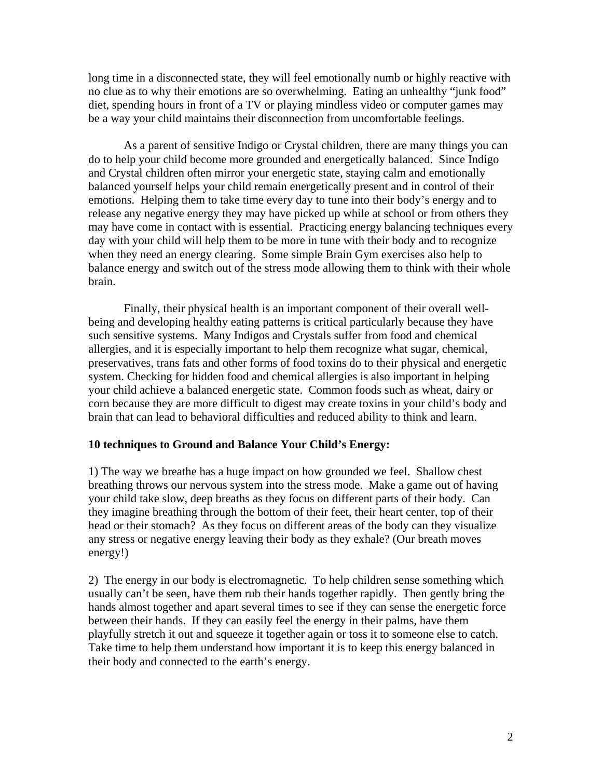long time in a disconnected state, they will feel emotionally numb or highly reactive with no clue as to why their emotions are so overwhelming. Eating an unhealthy "junk food" diet, spending hours in front of a TV or playing mindless video or computer games may be a way your child maintains their disconnection from uncomfortable feelings.

As a parent of sensitive Indigo or Crystal children, there are many things you can do to help your child become more grounded and energetically balanced. Since Indigo and Crystal children often mirror your energetic state, staying calm and emotionally balanced yourself helps your child remain energetically present and in control of their emotions. Helping them to take time every day to tune into their body's energy and to release any negative energy they may have picked up while at school or from others they may have come in contact with is essential. Practicing energy balancing techniques every day with your child will help them to be more in tune with their body and to recognize when they need an energy clearing. Some simple Brain Gym exercises also help to balance energy and switch out of the stress mode allowing them to think with their whole brain.

Finally, their physical health is an important component of their overall wellbeing and developing healthy eating patterns is critical particularly because they have such sensitive systems. Many Indigos and Crystals suffer from food and chemical allergies, and it is especially important to help them recognize what sugar, chemical, preservatives, trans fats and other forms of food toxins do to their physical and energetic system. Checking for hidden food and chemical allergies is also important in helping your child achieve a balanced energetic state. Common foods such as wheat, dairy or corn because they are more difficult to digest may create toxins in your child's body and brain that can lead to behavioral difficulties and reduced ability to think and learn.

## **10 techniques to Ground and Balance Your Child's Energy:**

1) The way we breathe has a huge impact on how grounded we feel. Shallow chest breathing throws our nervous system into the stress mode. Make a game out of having your child take slow, deep breaths as they focus on different parts of their body. Can they imagine breathing through the bottom of their feet, their heart center, top of their head or their stomach? As they focus on different areas of the body can they visualize any stress or negative energy leaving their body as they exhale? (Our breath moves energy!)

2) The energy in our body is electromagnetic. To help children sense something which usually can't be seen, have them rub their hands together rapidly. Then gently bring the hands almost together and apart several times to see if they can sense the energetic force between their hands. If they can easily feel the energy in their palms, have them playfully stretch it out and squeeze it together again or toss it to someone else to catch. Take time to help them understand how important it is to keep this energy balanced in their body and connected to the earth's energy.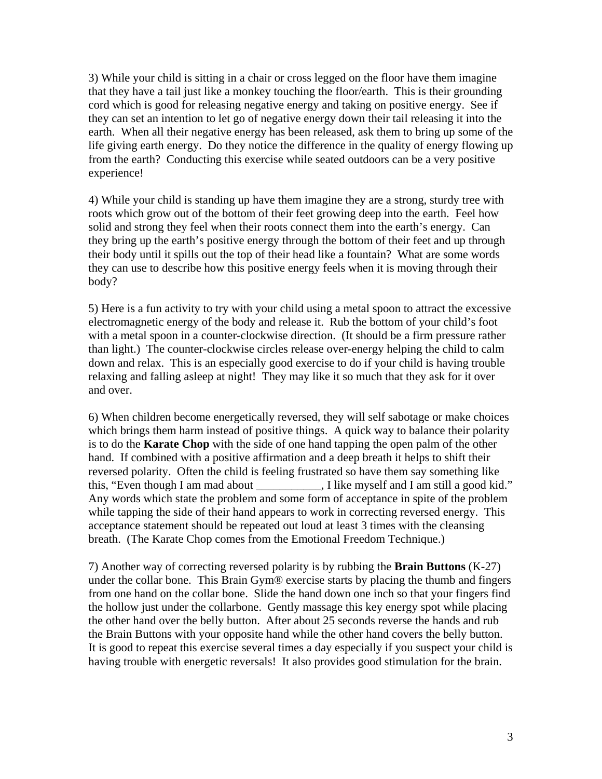3) While your child is sitting in a chair or cross legged on the floor have them imagine that they have a tail just like a monkey touching the floor/earth. This is their grounding cord which is good for releasing negative energy and taking on positive energy. See if they can set an intention to let go of negative energy down their tail releasing it into the earth. When all their negative energy has been released, ask them to bring up some of the life giving earth energy. Do they notice the difference in the quality of energy flowing up from the earth? Conducting this exercise while seated outdoors can be a very positive experience!

4) While your child is standing up have them imagine they are a strong, sturdy tree with roots which grow out of the bottom of their feet growing deep into the earth. Feel how solid and strong they feel when their roots connect them into the earth's energy. Can they bring up the earth's positive energy through the bottom of their feet and up through their body until it spills out the top of their head like a fountain? What are some words they can use to describe how this positive energy feels when it is moving through their body?

5) Here is a fun activity to try with your child using a metal spoon to attract the excessive electromagnetic energy of the body and release it. Rub the bottom of your child's foot with a metal spoon in a counter-clockwise direction. (It should be a firm pressure rather than light.) The counter-clockwise circles release over-energy helping the child to calm down and relax. This is an especially good exercise to do if your child is having trouble relaxing and falling asleep at night! They may like it so much that they ask for it over and over.

6) When children become energetically reversed, they will self sabotage or make choices which brings them harm instead of positive things. A quick way to balance their polarity is to do the **Karate Chop** with the side of one hand tapping the open palm of the other hand. If combined with a positive affirmation and a deep breath it helps to shift their reversed polarity. Often the child is feeling frustrated so have them say something like this, "Even though I am mad about \_\_\_\_\_\_\_\_\_\_, I like myself and I am still a good kid." Any words which state the problem and some form of acceptance in spite of the problem while tapping the side of their hand appears to work in correcting reversed energy. This acceptance statement should be repeated out loud at least 3 times with the cleansing breath. (The Karate Chop comes from the Emotional Freedom Technique.)

7) Another way of correcting reversed polarity is by rubbing the **Brain Buttons** (K-27) under the collar bone. This Brain Gym® exercise starts by placing the thumb and fingers from one hand on the collar bone. Slide the hand down one inch so that your fingers find the hollow just under the collarbone. Gently massage this key energy spot while placing the other hand over the belly button. After about 25 seconds reverse the hands and rub the Brain Buttons with your opposite hand while the other hand covers the belly button. It is good to repeat this exercise several times a day especially if you suspect your child is having trouble with energetic reversals! It also provides good stimulation for the brain.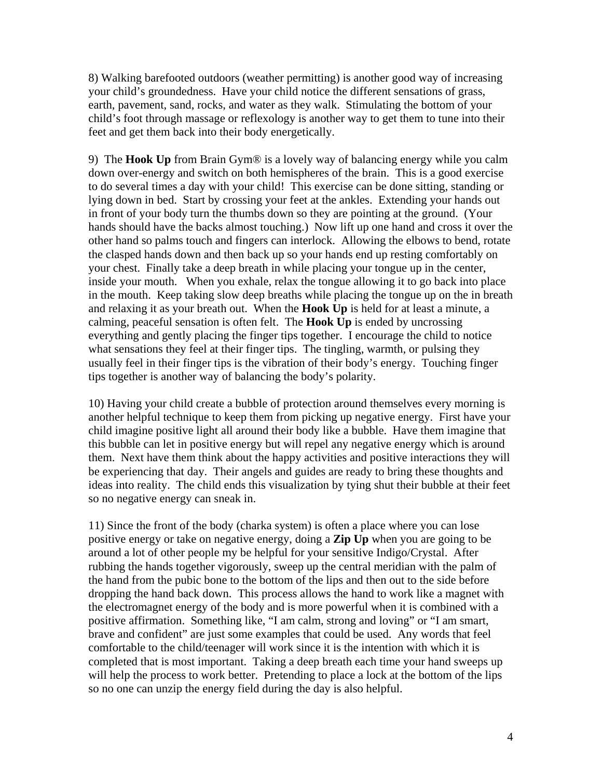8) Walking barefooted outdoors (weather permitting) is another good way of increasing your child's groundedness. Have your child notice the different sensations of grass, earth, pavement, sand, rocks, and water as they walk. Stimulating the bottom of your child's foot through massage or reflexology is another way to get them to tune into their feet and get them back into their body energetically.

9) The **Hook Up** from Brain Gym® is a lovely way of balancing energy while you calm down over-energy and switch on both hemispheres of the brain. This is a good exercise to do several times a day with your child! This exercise can be done sitting, standing or lying down in bed. Start by crossing your feet at the ankles. Extending your hands out in front of your body turn the thumbs down so they are pointing at the ground. (Your hands should have the backs almost touching.) Now lift up one hand and cross it over the other hand so palms touch and fingers can interlock. Allowing the elbows to bend, rotate the clasped hands down and then back up so your hands end up resting comfortably on your chest. Finally take a deep breath in while placing your tongue up in the center, inside your mouth. When you exhale, relax the tongue allowing it to go back into place in the mouth. Keep taking slow deep breaths while placing the tongue up on the in breath and relaxing it as your breath out. When the **Hook Up** is held for at least a minute, a calming, peaceful sensation is often felt. The **Hook Up** is ended by uncrossing everything and gently placing the finger tips together. I encourage the child to notice what sensations they feel at their finger tips. The tingling, warmth, or pulsing they usually feel in their finger tips is the vibration of their body's energy. Touching finger tips together is another way of balancing the body's polarity.

10) Having your child create a bubble of protection around themselves every morning is another helpful technique to keep them from picking up negative energy. First have your child imagine positive light all around their body like a bubble. Have them imagine that this bubble can let in positive energy but will repel any negative energy which is around them. Next have them think about the happy activities and positive interactions they will be experiencing that day. Their angels and guides are ready to bring these thoughts and ideas into reality. The child ends this visualization by tying shut their bubble at their feet so no negative energy can sneak in.

11) Since the front of the body (charka system) is often a place where you can lose positive energy or take on negative energy, doing a **Zip Up** when you are going to be around a lot of other people my be helpful for your sensitive Indigo/Crystal. After rubbing the hands together vigorously, sweep up the central meridian with the palm of the hand from the pubic bone to the bottom of the lips and then out to the side before dropping the hand back down. This process allows the hand to work like a magnet with the electromagnet energy of the body and is more powerful when it is combined with a positive affirmation. Something like, "I am calm, strong and loving" or "I am smart, brave and confident" are just some examples that could be used. Any words that feel comfortable to the child/teenager will work since it is the intention with which it is completed that is most important. Taking a deep breath each time your hand sweeps up will help the process to work better. Pretending to place a lock at the bottom of the lips so no one can unzip the energy field during the day is also helpful.